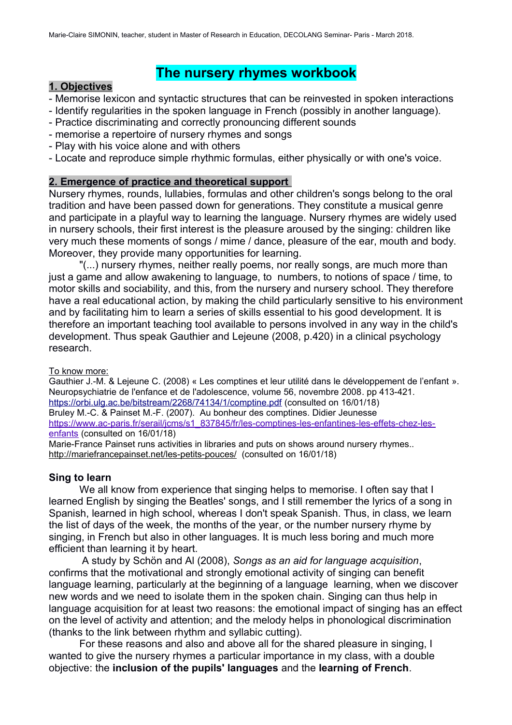# **The nursery rhymes workbook**

#### **1. Objectives**

- Memorise lexicon and syntactic structures that can be reinvested in spoken interactions
- Identify regularities in the spoken language in French (possibly in another language).
- Practice discriminating and correctly pronouncing different sounds
- memorise a repertoire of nursery rhymes and songs
- Play with his voice alone and with others
- Locate and reproduce simple rhythmic formulas, either physically or with one's voice.

#### **2. Emergence of practice and theoretical support**

Nursery rhymes, rounds, lullabies, formulas and other children's songs belong to the oral tradition and have been passed down for generations. They constitute a musical genre and participate in a playful way to learning the language. Nursery rhymes are widely used in nursery schools, their first interest is the pleasure aroused by the singing: children like very much these moments of songs / mime / dance, pleasure of the ear, mouth and body. Moreover, they provide many opportunities for learning.

"(...) nursery rhymes, neither really poems, nor really songs, are much more than just a game and allow awakening to language, to numbers, to notions of space / time, to motor skills and sociability, and this, from the nursery and nursery school. They therefore have a real educational action, by making the child particularly sensitive to his environment and by facilitating him to learn a series of skills essential to his good development. It is therefore an important teaching tool available to persons involved in any way in the child's development. Thus speak Gauthier and Lejeune (2008, p.420) in a clinical psychology research.

To know more:

Gauthier J.-M. & Lejeune C. (2008) « Les comptines et leur utilité dans le développement de l'enfant ». Neuropsychiatrie de l'enfance et de l'adolescence, volume 56, novembre 2008. pp 413-421. <https://orbi.ulg.ac.be/bitstream/2268/74134/1/comptine.pdf>(consulted on 16/01/18) Bruley M.-C. & Painset M.-F. (2007). Au bonheur des comptines. Didier Jeunesse [https://www.ac-paris.fr/serail/jcms/s1\\_837845/fr/les-comptines-les-enfantines-les-effets-chez-les](https://www.ac-paris.fr/serail/jcms/s1_837845/fr/les-comptines-les-enfantines-les-effets-chez-les-enfants)[enfants](https://www.ac-paris.fr/serail/jcms/s1_837845/fr/les-comptines-les-enfantines-les-effets-chez-les-enfants) (consulted on 16/01/18)

Marie-France Painset runs activities in libraries and puts on shows around nursery rhymes.. <http://mariefrancepainset.net/les-petits-pouces/> (consulted on 16/01/18)

#### **Sing to learn**

We all know from experience that singing helps to memorise. I often say that I learned English by singing the Beatles' songs, and I still remember the lyrics of a song in Spanish, learned in high school, whereas I don't speak Spanish. Thus, in class, we learn the list of days of the week, the months of the year, or the number nursery rhyme by singing, in French but also in other languages. It is much less boring and much more efficient than learning it by heart.

A study by Schön and Al (2008), *Songs as an aid for language acquisition*, confirms that the motivational and strongly emotional activity of singing can benefit language learning, particularly at the beginning of a language learning, when we discover new words and we need to isolate them in the spoken chain. Singing can thus help in language acquisition for at least two reasons: the emotional impact of singing has an effect on the level of activity and attention; and the melody helps in phonological discrimination (thanks to the link between rhythm and syllabic cutting).

For these reasons and also and above all for the shared pleasure in singing, I wanted to give the nursery rhymes a particular importance in my class, with a double objective: the **inclusion of the pupils' languages** and the **learning of French**.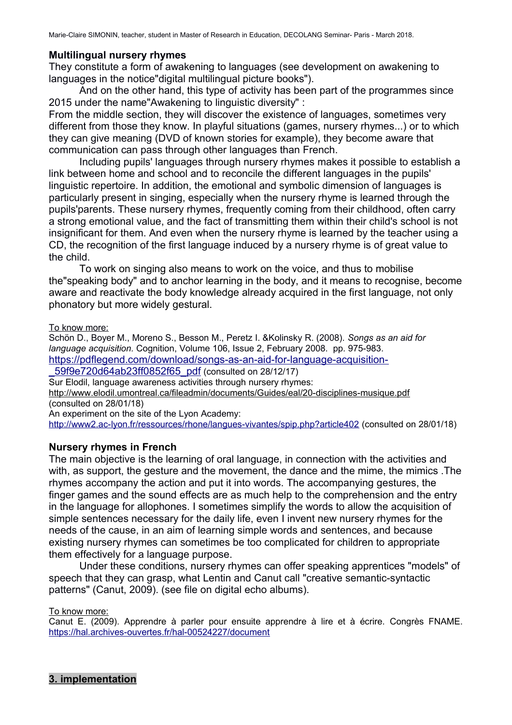Marie-Claire SIMONIN, teacher, student in Master of Research in Education, DECOLANG Seminar- Paris - March 2018.

#### **Multilingual nursery rhymes**

They constitute a form of awakening to languages (see development on awakening to languages in the notice"digital multilingual picture books").

And on the other hand, this type of activity has been part of the programmes since 2015 under the name"Awakening to linguistic diversity" :

From the middle section, they will discover the existence of languages, sometimes very different from those they know. In playful situations (games, nursery rhymes...) or to which they can give meaning (DVD of known stories for example), they become aware that communication can pass through other languages than French.

Including pupils' languages through nursery rhymes makes it possible to establish a link between home and school and to reconcile the different languages in the pupils' linguistic repertoire. In addition, the emotional and symbolic dimension of languages is particularly present in singing, especially when the nursery rhyme is learned through the pupils'parents. These nursery rhymes, frequently coming from their childhood, often carry a strong emotional value, and the fact of transmitting them within their child's school is not insignificant for them. And even when the nursery rhyme is learned by the teacher using a CD, the recognition of the first language induced by a nursery rhyme is of great value to the child.

To work on singing also means to work on the voice, and thus to mobilise the"speaking body" and to anchor learning in the body, and it means to recognise, become aware and reactivate the body knowledge already acquired in the first language, not only phonatory but more widely gestural.

To know more:

Schön D., Boyer M., Moreno S., Besson M., Peretz I. &Kolinsky R. (2008). *Songs as an aid for language acquisition.* Cognition, Volume 106, Issue 2, February 2008. pp. 975-983. [https://pdflegend.com/download/songs-as-an-aid-for-language-acquisition-](https://pdflegend.com/download/songs-as-an-aid-for-language-acquisition-_59f9e720d64ab23ff0852f65_pdf)

[\\_59f9e720d64ab23ff0852f65\\_pdf](https://pdflegend.com/download/songs-as-an-aid-for-language-acquisition-_59f9e720d64ab23ff0852f65_pdf) (consulted on 28/12/17)

Sur Elodil, language awareness activities through nursery rhymes:

<http://www.elodil.umontreal.ca/fileadmin/documents/Guides/eal/20-disciplines-musique.pdf> (consulted on 28/01/18)

An experiment on the site of the Lyon Academy:

<http://www2.ac-lyon.fr/ressources/rhone/langues-vivantes/spip.php?article402> (consulted on 28/01/18)

#### **Nursery rhymes in French**

The main objective is the learning of oral language, in connection with the activities and with, as support, the gesture and the movement, the dance and the mime, the mimics .The rhymes accompany the action and put it into words. The accompanying gestures, the finger games and the sound effects are as much help to the comprehension and the entry in the language for allophones. I sometimes simplify the words to allow the acquisition of simple sentences necessary for the daily life, even I invent new nursery rhymes for the needs of the cause, in an aim of learning simple words and sentences, and because existing nursery rhymes can sometimes be too complicated for children to appropriate them effectively for a language purpose.

Under these conditions, nursery rhymes can offer speaking apprentices "models" of speech that they can grasp, what Lentin and Canut call "creative semantic-syntactic patterns" (Canut, 2009). (see file on digital echo albums).

To know more:

Canut E. (2009). Apprendre à parler pour ensuite apprendre à lire et à écrire. Congrès FNAME. <https://hal.archives-ouvertes.fr/hal-00524227/document>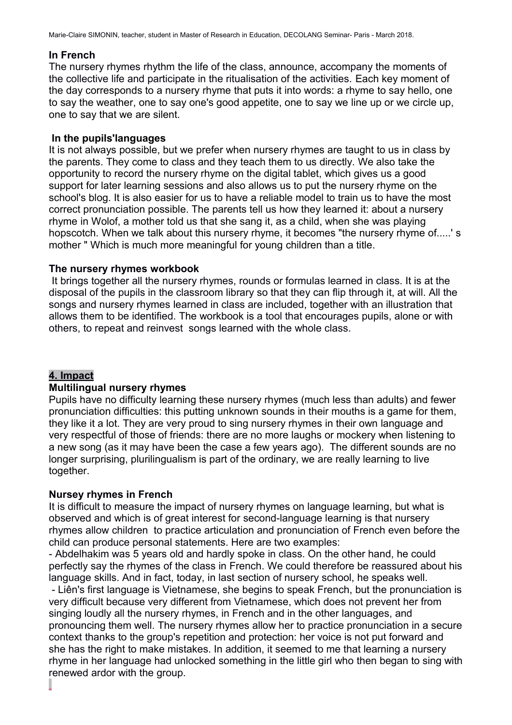Marie-Claire SIMONIN, teacher, student in Master of Research in Education, DECOLANG Seminar- Paris - March 2018.

#### **In French**

The nursery rhymes rhythm the life of the class, announce, accompany the moments of the collective life and participate in the ritualisation of the activities. Each key moment of the day corresponds to a nursery rhyme that puts it into words: a rhyme to say hello, one to say the weather, one to say one's good appetite, one to say we line up or we circle up, one to say that we are silent.

#### **In the pupils'languages**

It is not always possible, but we prefer when nursery rhymes are taught to us in class by the parents. They come to class and they teach them to us directly. We also take the opportunity to record the nursery rhyme on the digital tablet, which gives us a good support for later learning sessions and also allows us to put the nursery rhyme on the school's blog. It is also easier for us to have a reliable model to train us to have the most correct pronunciation possible. The parents tell us how they learned it: about a nursery rhyme in Wolof, a mother told us that she sang it, as a child, when she was playing hopscotch. When we talk about this nursery rhyme, it becomes "the nursery rhyme of.....' s mother " Which is much more meaningful for young children than a title.

#### **The nursery rhymes workbook**

 It brings together all the nursery rhymes, rounds or formulas learned in class. It is at the disposal of the pupils in the classroom library so that they can flip through it, at will. All the songs and nursery rhymes learned in class are included, together with an illustration that allows them to be identified. The workbook is a tool that encourages pupils, alone or with others, to repeat and reinvest songs learned with the whole class.

# **4. Impact**

# **Multilingual nursery rhymes**

Pupils have no difficulty learning these nursery rhymes (much less than adults) and fewer pronunciation difficulties: this putting unknown sounds in their mouths is a game for them, they like it a lot. They are very proud to sing nursery rhymes in their own language and very respectful of those of friends: there are no more laughs or mockery when listening to a new song (as it may have been the case a few years ago). The different sounds are no longer surprising, plurilingualism is part of the ordinary, we are really learning to live together.

# **Nursey rhymes in French**

It is difficult to measure the impact of nursery rhymes on language learning, but what is observed and which is of great interest for second-language learning is that nursery rhymes allow children to practice articulation and pronunciation of French even before the child can produce personal statements. Here are two examples:

- Abdelhakim was 5 years old and hardly spoke in class. On the other hand, he could perfectly say the rhymes of the class in French. We could therefore be reassured about his language skills. And in fact, today, in last section of nursery school, he speaks well.

 - Liên's first language is Vietnamese, she begins to speak French, but the pronunciation is very difficult because very different from Vietnamese, which does not prevent her from singing loudly all the nursery rhymes, in French and in the other languages, and pronouncing them well. The nursery rhymes allow her to practice pronunciation in a secure context thanks to the group's repetition and protection: her voice is not put forward and she has the right to make mistakes. In addition, it seemed to me that learning a nursery rhyme in her language had unlocked something in the little girl who then began to sing with renewed ardor with the group.